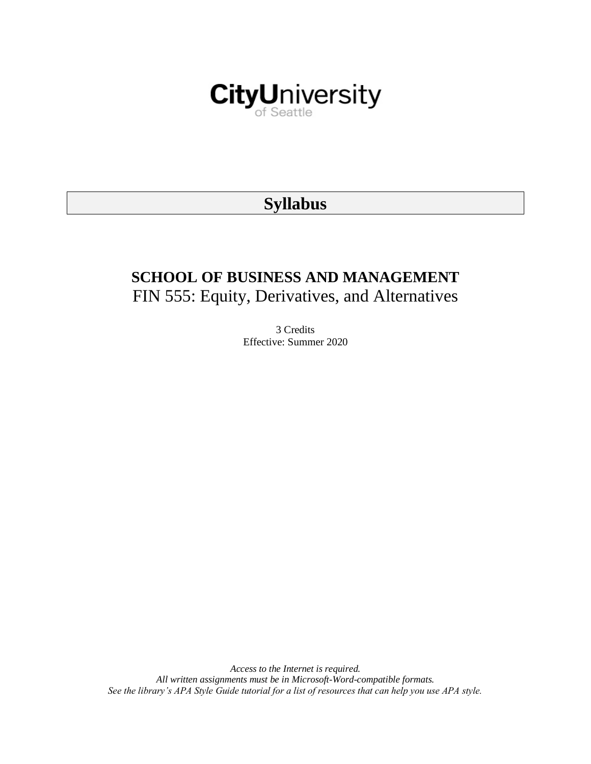

# **Syllabus**

# **SCHOOL OF BUSINESS AND MANAGEMENT** FIN 555: Equity, Derivatives, and Alternatives

3 Credits Effective: Summer 2020

*Access to the Internet is required. All written assignments must be in Microsoft-Word-compatible formats. See the library's APA Style Guide tutorial for a list of resources that can help you use APA style.*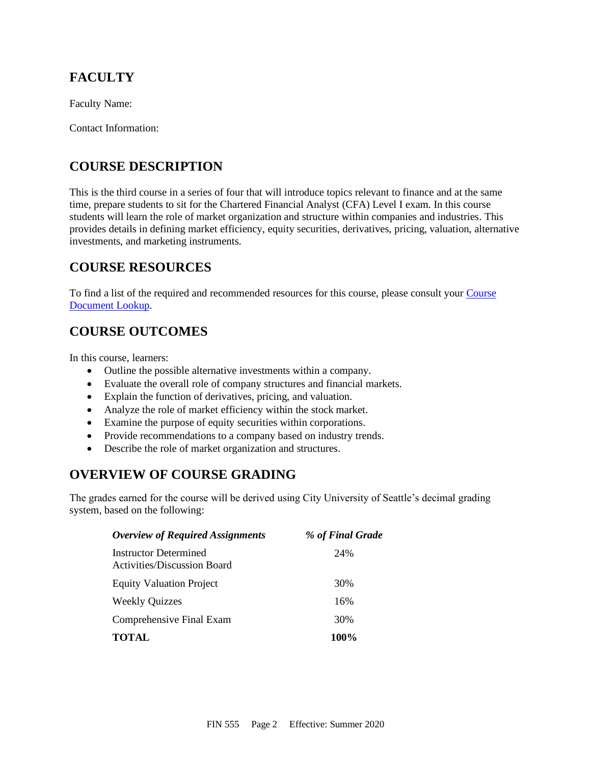# **FACULTY**

Faculty Name:

Contact Information:

## **COURSE DESCRIPTION**

This is the third course in a series of four that will introduce topics relevant to finance and at the same time, prepare students to sit for the Chartered Financial Analyst (CFA) Level I exam. In this course students will learn the role of market organization and structure within companies and industries. This provides details in defining market efficiency, equity securities, derivatives, pricing, valuation, alternative investments, and marketing instruments.

# **COURSE RESOURCES**

To find a list of the required and recommended resources for this course, please consult your [Course](https://documents.cityu.edu/coursedocumentlookup.aspx)  [Document Lookup.](https://documents.cityu.edu/coursedocumentlookup.aspx)

## **COURSE OUTCOMES**

In this course, learners:

- Outline the possible alternative investments within a company.
- Evaluate the overall role of company structures and financial markets.
- Explain the function of derivatives, pricing, and valuation.
- Analyze the role of market efficiency within the stock market.
- Examine the purpose of equity securities within corporations.
- Provide recommendations to a company based on industry trends.
- Describe the role of market organization and structures.

### **OVERVIEW OF COURSE GRADING**

The grades earned for the course will be derived using City University of Seattle's decimal grading system, based on the following:

| <b>Overview of Required Assignments</b>                     | % of Final Grade |
|-------------------------------------------------------------|------------------|
| Instructor Determined<br><b>Activities/Discussion Board</b> | 24%              |
| <b>Equity Valuation Project</b>                             | 30%              |
| <b>Weekly Quizzes</b>                                       | 16%              |
| Comprehensive Final Exam                                    | 30%              |
| <b>TOTAL</b>                                                | 100%             |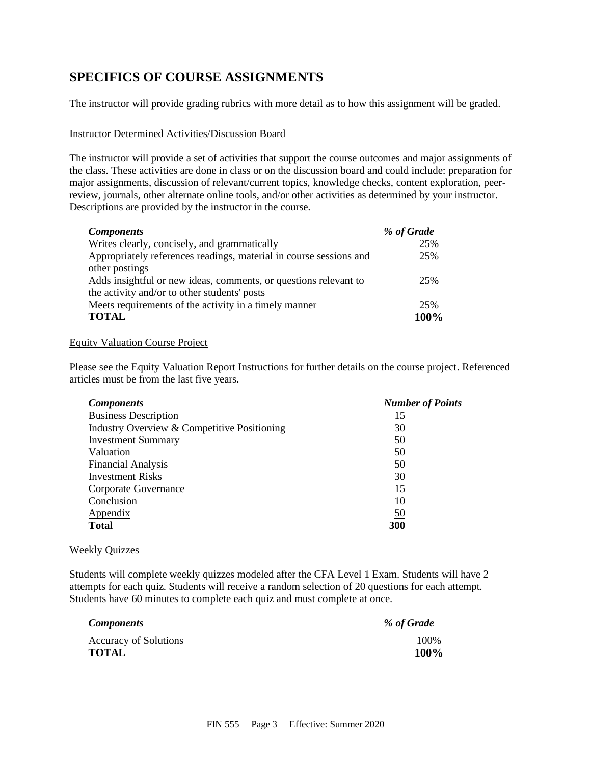### **SPECIFICS OF COURSE ASSIGNMENTS**

The instructor will provide grading rubrics with more detail as to how this assignment will be graded.

#### Instructor Determined Activities/Discussion Board

The instructor will provide a set of activities that support the course outcomes and major assignments of the class. These activities are done in class or on the discussion board and could include: preparation for major assignments, discussion of relevant/current topics, knowledge checks, content exploration, peerreview, journals, other alternate online tools, and/or other activities as determined by your instructor. Descriptions are provided by the instructor in the course.

| <b>Components</b>                                                  | % of Grade |
|--------------------------------------------------------------------|------------|
| Writes clearly, concisely, and grammatically                       | 25%        |
| Appropriately references readings, material in course sessions and | 25%        |
| other postings                                                     |            |
| Adds insightful or new ideas, comments, or questions relevant to   | 25%        |
| the activity and/or to other students' posts                       |            |
| Meets requirements of the activity in a timely manner              | 25%        |
| <b>TOTAL</b>                                                       | 100%       |

#### Equity Valuation Course Project

Please see the Equity Valuation Report Instructions for further details on the course project. Referenced articles must be from the last five years.

| <b>Components</b>                           | <b>Number of Points</b> |
|---------------------------------------------|-------------------------|
| <b>Business Description</b>                 | 15                      |
| Industry Overview & Competitive Positioning | 30                      |
| <b>Investment Summary</b>                   | 50                      |
| Valuation                                   | 50                      |
| <b>Financial Analysis</b>                   | 50                      |
| <b>Investment Risks</b>                     | 30                      |
| Corporate Governance                        | 15                      |
| Conclusion                                  | 10                      |
| Appendix                                    | <u>50</u>               |
| <b>Total</b>                                | 300                     |

#### Weekly Quizzes

Students will complete weekly quizzes modeled after the CFA Level 1 Exam. Students will have 2 attempts for each quiz. Students will receive a random selection of 20 questions for each attempt. Students have 60 minutes to complete each quiz and must complete at once.

| <i>Components</i>            | % of Grade |
|------------------------------|------------|
| <b>Accuracy of Solutions</b> | 100%       |
| <b>TOTAL</b>                 | 100%       |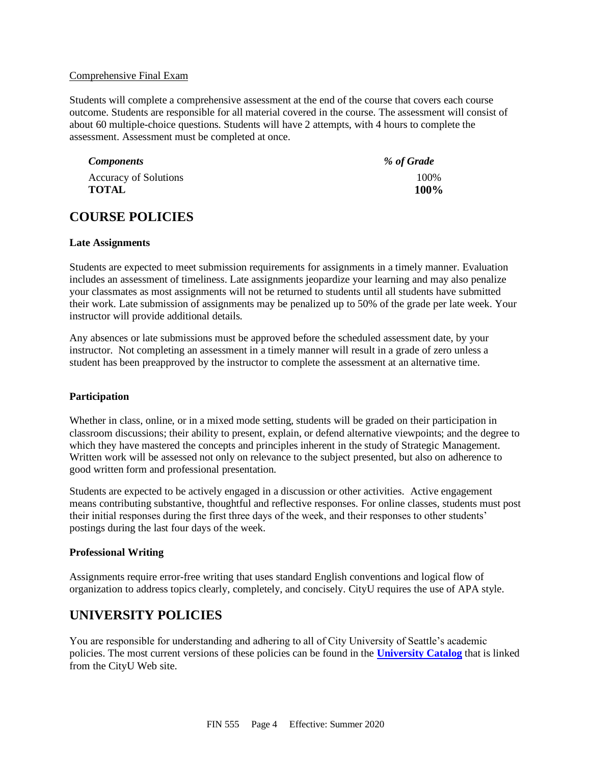#### Comprehensive Final Exam

Students will complete a comprehensive assessment at the end of the course that covers each course outcome. Students are responsible for all material covered in the course. The assessment will consist of about 60 multiple-choice questions. Students will have 2 attempts, with 4 hours to complete the assessment. Assessment must be completed at once.

| <i>Components</i>            | % of Grade |
|------------------------------|------------|
| <b>Accuracy of Solutions</b> | 100\%      |
| <b>TOTAL</b>                 | 100%       |

### **COURSE POLICIES**

#### **Late Assignments**

Students are expected to meet submission requirements for assignments in a timely manner. Evaluation includes an assessment of timeliness. Late assignments jeopardize your learning and may also penalize your classmates as most assignments will not be returned to students until all students have submitted their work. Late submission of assignments may be penalized up to 50% of the grade per late week. Your instructor will provide additional details.

Any absences or late submissions must be approved before the scheduled assessment date, by your instructor. Not completing an assessment in a timely manner will result in a grade of zero unless a student has been preapproved by the instructor to complete the assessment at an alternative time.

#### **Participation**

Whether in class, online, or in a mixed mode setting, students will be graded on their participation in classroom discussions; their ability to present, explain, or defend alternative viewpoints; and the degree to which they have mastered the concepts and principles inherent in the study of Strategic Management. Written work will be assessed not only on relevance to the subject presented, but also on adherence to good written form and professional presentation.

Students are expected to be actively engaged in a discussion or other activities. Active engagement means contributing substantive, thoughtful and reflective responses. For online classes, students must post their initial responses during the first three days of the week, and their responses to other students' postings during the last four days of the week.

#### **Professional Writing**

Assignments require error-free writing that uses standard English conventions and logical flow of organization to address topics clearly, completely, and concisely. CityU requires the use of APA style.

### **UNIVERSITY POLICIES**

You are responsible for understanding and adhering to all of City University of Seattle's academic policies. The most current versions of these policies can be found in the **[University Catalog](http://www.cityu.edu/catalog/)** that is linked from the CityU Web site.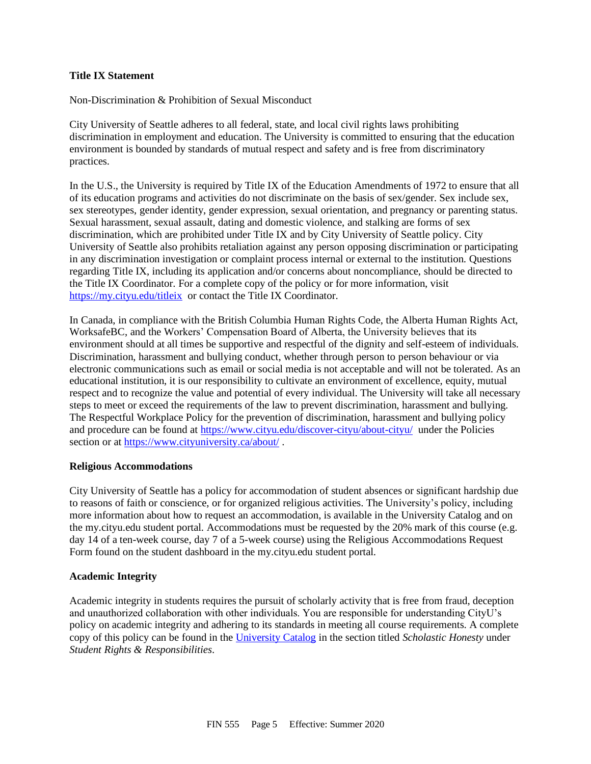#### **Title IX Statement**

Non-Discrimination & Prohibition of Sexual Misconduct

City University of Seattle adheres to all federal, state, and local civil rights laws prohibiting discrimination in employment and education. The University is committed to ensuring that the education environment is bounded by standards of mutual respect and safety and is free from discriminatory practices.

In the U.S., the University is required by Title IX of the Education Amendments of 1972 to ensure that all of its education programs and activities do not discriminate on the basis of sex/gender. Sex include sex, sex stereotypes, gender identity, gender expression, sexual orientation, and pregnancy or parenting status. Sexual harassment, sexual assault, dating and domestic violence, and stalking are forms of sex discrimination, which are prohibited under Title IX and by City University of Seattle policy. City University of Seattle also prohibits retaliation against any person opposing discrimination or participating in any discrimination investigation or complaint process internal or external to the institution. Questions regarding Title IX, including its application and/or concerns about noncompliance, should be directed to the Title IX Coordinator. For a complete copy of the policy or for more information, visit [https://my.cityu.edu/titleix](https://nam11.safelinks.protection.outlook.com/?url=https%3A%2F%2Fmy.cityu.edu%2Ftitleix&data=04%7C01%7Ckriuchkovaa%40cityu.edu%7C9232e27347144c19de4a08d8e2987526%7Cb3fa96d9f5154662add763d854e39e63%7C1%7C0%7C637508491767279794%7CUnknown%7CTWFpbGZsb3d8eyJWIjoiMC4wLjAwMDAiLCJQIjoiV2luMzIiLCJBTiI6Ik1haWwiLCJXVCI6Mn0%3D%7C1000&sdata=oHVrDtgYs0rcN3Q5khchU2PiMPOONKbQ%2FTQ6xw8vHBE%3D&reserved=0) or contact the Title IX Coordinator.

In Canada, in compliance with the British Columbia Human Rights Code, the Alberta Human Rights Act, WorksafeBC, and the Workers' Compensation Board of Alberta, the University believes that its environment should at all times be supportive and respectful of the dignity and self-esteem of individuals. Discrimination, harassment and bullying conduct, whether through person to person behaviour or via electronic communications such as email or social media is not acceptable and will not be tolerated. As an educational institution, it is our responsibility to cultivate an environment of excellence, equity, mutual respect and to recognize the value and potential of every individual. The University will take all necessary steps to meet or exceed the requirements of the law to prevent discrimination, harassment and bullying. The Respectful Workplace Policy for the prevention of discrimination, harassment and bullying policy and procedure can be found at [https://www.cityu.edu/discover-cityu/about-cityu/](https://nam11.safelinks.protection.outlook.com/?url=https%3A%2F%2Fwww.cityu.edu%2Fdiscover-cityu%2Fabout-cityu%2F&data=04%7C01%7Ckriuchkovaa%40cityu.edu%7C9232e27347144c19de4a08d8e2987526%7Cb3fa96d9f5154662add763d854e39e63%7C1%7C0%7C637508491767279794%7CUnknown%7CTWFpbGZsb3d8eyJWIjoiMC4wLjAwMDAiLCJQIjoiV2luMzIiLCJBTiI6Ik1haWwiLCJXVCI6Mn0%3D%7C1000&sdata=j2pDxXXWEOIDxcjQMw9%2F2WcLKb6ep99EAElsMfCjej8%3D&reserved=0) under the Policies section or at [https://www.cityuniversity.ca/about/](https://nam11.safelinks.protection.outlook.com/?url=https%3A%2F%2Fwww.cityuniversity.ca%2Fabout%2F&data=04%7C01%7Ckriuchkovaa%40cityu.edu%7C9232e27347144c19de4a08d8e2987526%7Cb3fa96d9f5154662add763d854e39e63%7C1%7C0%7C637508491767289784%7CUnknown%7CTWFpbGZsb3d8eyJWIjoiMC4wLjAwMDAiLCJQIjoiV2luMzIiLCJBTiI6Ik1haWwiLCJXVCI6Mn0%3D%7C1000&sdata=EK3wGt5QOtWpO%2FJ5yQ4TaSEz1cL3kZq4ez4339q7Wk8%3D&reserved=0)

#### **Religious Accommodations**

City University of Seattle has a policy for accommodation of student absences or significant hardship due to reasons of faith or conscience, or for organized religious activities. The University's policy, including more information about how to request an accommodation, is available in the University Catalog and on the my.cityu.edu student portal. Accommodations must be requested by the 20% mark of this course (e.g. day 14 of a ten-week course, day 7 of a 5-week course) using the Religious Accommodations Request Form found on the student dashboard in the my.cityu.edu student portal.

#### **Academic Integrity**

Academic integrity in students requires the pursuit of scholarly activity that is free from fraud, deception and unauthorized collaboration with other individuals. You are responsible for understanding CityU's policy on academic integrity and adhering to its standards in meeting all course requirements. A complete copy of this policy can be found in the [University Catalog](http://www.cityu.edu/catalog/) in the section titled *Scholastic Honesty* under *Student Rights & Responsibilities*.